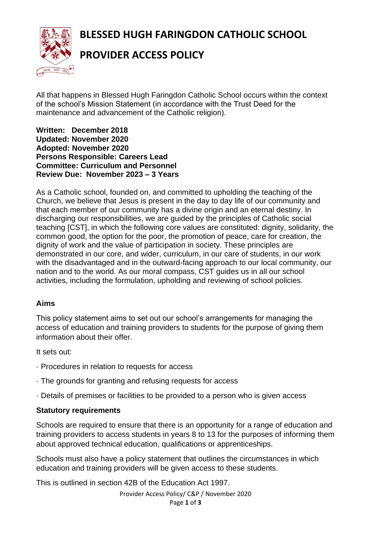**BLESSED HUGH FARINGDON CATHOLIC SCHOOL**



# **PROVIDER ACCESS POLICY**

All that happens in Blessed Hugh Faringdon Catholic School occurs within the context of the school's Mission Statement (in accordance with the Trust Deed for the maintenance and advancement of the Catholic religion).

**Written: December 2018 Updated: November 2020 Adopted: November 2020 Persons Responsible: Careers Lead Committee: Curriculum and Personnel Review Due: November 2023 – 3 Years**

As a Catholic school, founded on, and committed to upholding the teaching of the Church, we believe that Jesus is present in the day to day life of our community and that each member of our community has a divine origin and an eternal destiny. In discharging our responsibilities, we are guided by the principles of Catholic social teaching [CST], in which the following core values are constituted: dignity, solidarity, the common good, the option for the poor, the promotion of peace, care for creation, the dignity of work and the value of participation in society. These principles are demonstrated in our core, and wider, curriculum, in our care of students, in our work with the disadvantaged and in the outward-facing approach to our local community, our nation and to the world. As our moral compass, CST guides us in all our school activities, including the formulation, upholding and reviewing of school policies.

#### **Aims**

This policy statement aims to set out our school's arrangements for managing the access of education and training providers to students for the purpose of giving them information about their offer.

It sets out:

- · Procedures in relation to requests for access
- · The grounds for granting and refusing requests for access
- · Details of premises or facilities to be provided to a person who is given access

#### **Statutory requirements**

Schools are required to ensure that there is an opportunity for a range of education and training providers to access students in years 8 to 13 for the purposes of informing them about approved technical education, qualifications or apprenticeships.

Schools must also have a policy statement that outlines the circumstances in which education and training providers will be given access to these students.

This is outlined in section 42B of the Education Act 1997.

Provider Access Policy/ C&P / November 2020 Page **1** of **3**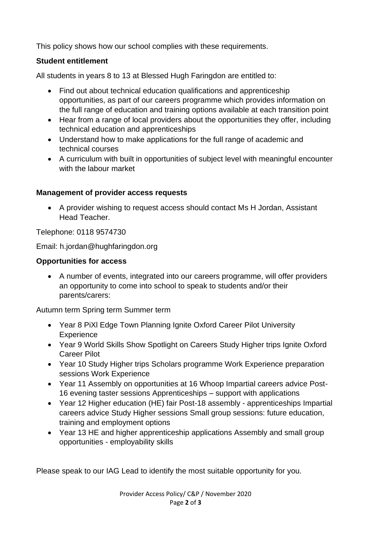This policy shows how our school complies with these requirements.

# **Student entitlement**

All students in years 8 to 13 at Blessed Hugh Faringdon are entitled to:

- Find out about technical education qualifications and apprenticeship opportunities, as part of our careers programme which provides information on the full range of education and training options available at each transition point
- Hear from a range of local providers about the opportunities they offer, including technical education and apprenticeships
- Understand how to make applications for the full range of academic and technical courses
- A curriculum with built in opportunities of subject level with meaningful encounter with the labour market

## **Management of provider access requests**

• A provider wishing to request access should contact Ms H Jordan, Assistant Head Teacher.

Telephone: 0118 9574730

Email: h.jordan@hughfaringdon.org

## **Opportunities for access**

• A number of events, integrated into our careers programme, will offer providers an opportunity to come into school to speak to students and/or their parents/carers:

Autumn term Spring term Summer term

- Year 8 PiXl Edge Town Planning Ignite Oxford Career Pilot University **Experience**
- Year 9 World Skills Show Spotlight on Careers Study Higher trips Ignite Oxford Career Pilot
- Year 10 Study Higher trips Scholars programme Work Experience preparation sessions Work Experience
- Year 11 Assembly on opportunities at 16 Whoop Impartial careers advice Post-16 evening taster sessions Apprenticeships – support with applications
- Year 12 Higher education (HE) fair Post-18 assembly apprenticeships Impartial careers advice Study Higher sessions Small group sessions: future education, training and employment options
- Year 13 HE and higher apprenticeship applications Assembly and small group opportunities - employability skills

Please speak to our IAG Lead to identify the most suitable opportunity for you.